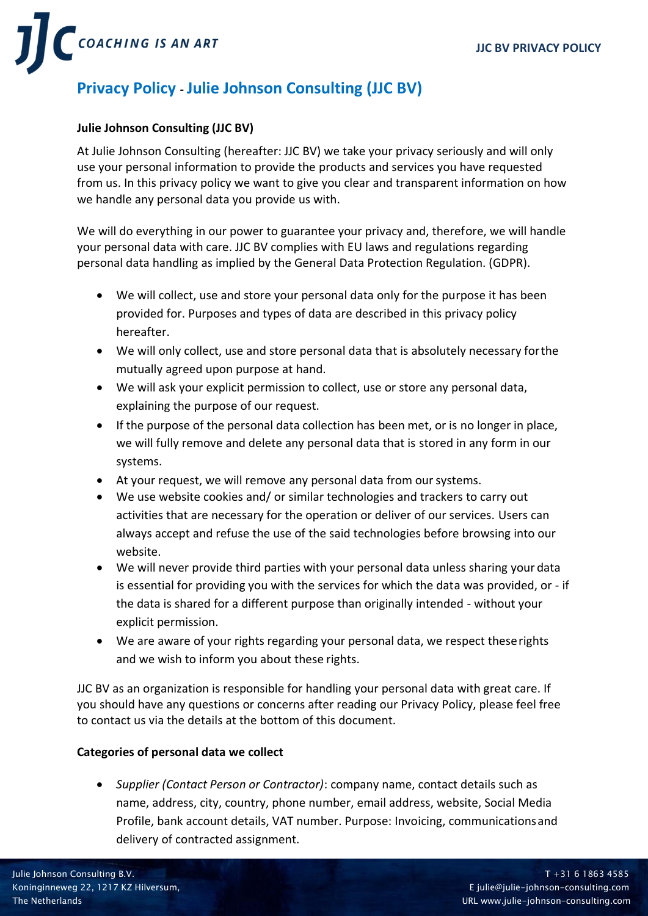

# **Privacy Policy - Julie Johnson Consulting (JJC BV)**

### **Julie Johnson Consulting (JJC BV)**

At Julie Johnson Consulting (hereafter: JJC BV) we take your privacy seriously and will only use your personal information to provide the products and services you have requested from us. In this privacy policy we want to give you clear and transparent information on how we handle any personal data you provide us with.

We will do everything in our power to guarantee your privacy and, therefore, we will handle your personal data with care. JJC BV complies with EU laws and regulations regarding personal data handling as implied by the General Data Protection Regulation. (GDPR).

- We will collect, use and store your personal data only for the purpose it has been provided for. Purposes and types of data are described in this privacy policy hereafter.
- We will only collect, use and store personal data that is absolutely necessary forthe mutually agreed upon purpose at hand.
- We will ask your explicit permission to collect, use or store any personal data, explaining the purpose of our request.
- If the purpose of the personal data collection has been met, or is no longer in place, we will fully remove and delete any personal data that is stored in any form in our systems.
- At your request, we will remove any personal data from our systems.
- We use website cookies and/ or similar technologies and trackers to carry out activities that are necessary for the operation or deliver of our services. Users can always accept and refuse the use of the said technologies before browsing into our website.
- We will never provide third parties with your personal data unless sharing your data is essential for providing you with the services for which the data was provided, or - if the data is shared for a different purpose than originally intended - without your explicit permission.
- We are aware of your rights regarding your personal data, we respect theserights and we wish to inform you about these rights.

JJC BV as an organization is responsible for handling your personal data with great care. If you should have any questions or concerns after reading our Privacy Policy, please feel free to contact us via the details at the bottom of this document.

## **Categories of personal data we collect**

• *Supplier (Contact Person or Contractor)*: company name, contact details such as name, address, city, country, phone number, email address, website, Social Media Profile, bank account details, VAT number. Purpose: Invoicing, communicationsand delivery of contracted assignment.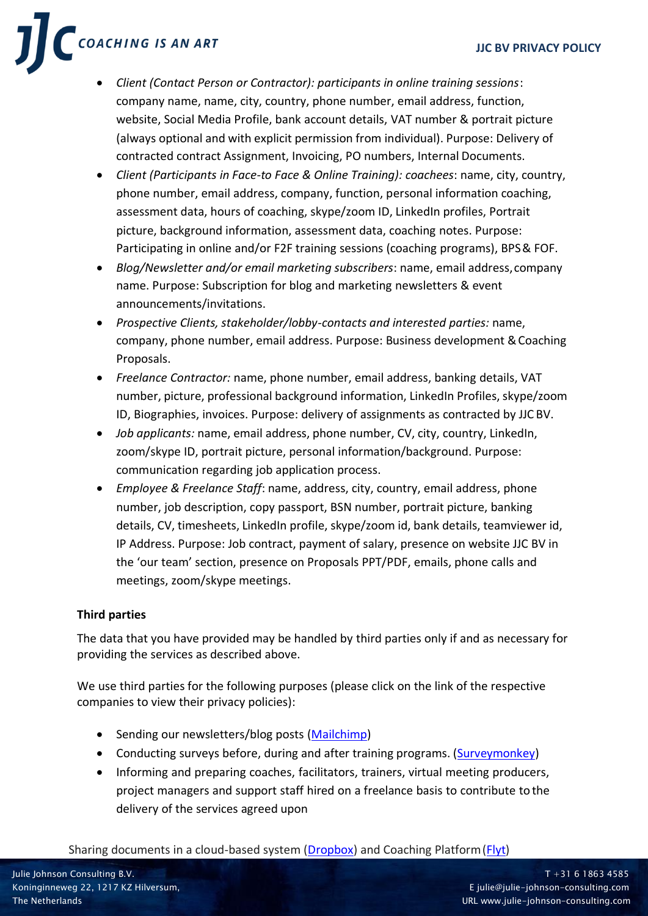COACHING IS AN ART

- *Client (Contact Person or Contractor): participants in online training sessions*: company name, name, city, country, phone number, email address, function, website, Social Media Profile, bank account details, VAT number & portrait picture (always optional and with explicit permission from individual). Purpose: Delivery of contracted contract Assignment, Invoicing, PO numbers, Internal Documents.
- *Client (Participants in Face-to Face & Online Training): coachees*: name, city, country, phone number, email address, company, function, personal information coaching, assessment data, hours of coaching, skype/zoom ID, LinkedIn profiles, Portrait picture, background information, assessment data, coaching notes. Purpose: Participating in online and/or F2F training sessions (coaching programs), BPS& FOF.
- *Blog/Newsletter and/or email marketing subscribers*: name, email address,company name. Purpose: Subscription for blog and marketing newsletters & event announcements/invitations.
- *Prospective Clients, stakeholder/lobby-contacts and interested parties:* name, company, phone number, email address. Purpose: Business development &Coaching Proposals.
- *Freelance Contractor:* name, phone number, email address, banking details, VAT number, picture, professional background information, LinkedIn Profiles, skype/zoom ID, Biographies, invoices. Purpose: delivery of assignments as contracted by JJC BV.
- *Job applicants:* name, email address, phone number, CV, city, country, LinkedIn, zoom/skype ID, portrait picture, personal information/background. Purpose: communication regarding job application process.
- *Employee & Freelance Staff*: name, address, city, country, email address, phone number, job description, copy passport, BSN number, portrait picture, banking details, CV, timesheets, LinkedIn profile, skype/zoom id, bank details, teamviewer id, IP Address. Purpose: Job contract, payment of salary, presence on website JJC BV in the 'our team' section, presence on Proposals PPT/PDF, emails, phone calls and meetings, zoom/skype meetings.

# **Third parties**

The data that you have provided may be handled by third parties only if and as necessary for providing the services as described above.

We use third parties for the following purposes (please click on the link of the respective companies to view their privacy policies):

- Sending our newsletters/blog posts [\(Mailchimp\)](https://mailchimp.com/legal/privacy/)
- Conducting surveys before, during and after training programs. [\(Surveymonkey\)](https://www.surveymonkey.com/mp/policy/privacy-policy/)
- Informing and preparing coaches, facilitators, trainers, virtual meeting producers, project managers and support staff hired on a freelance basis to contribute to the delivery of the services agreed upon

## Sharing documents in a cloud-based system [\(Dropbox\)](https://www.dropbox.com/privacy) and Coaching Platform [\(Flyt\)](https://www.flyt.coach/privacy-terms)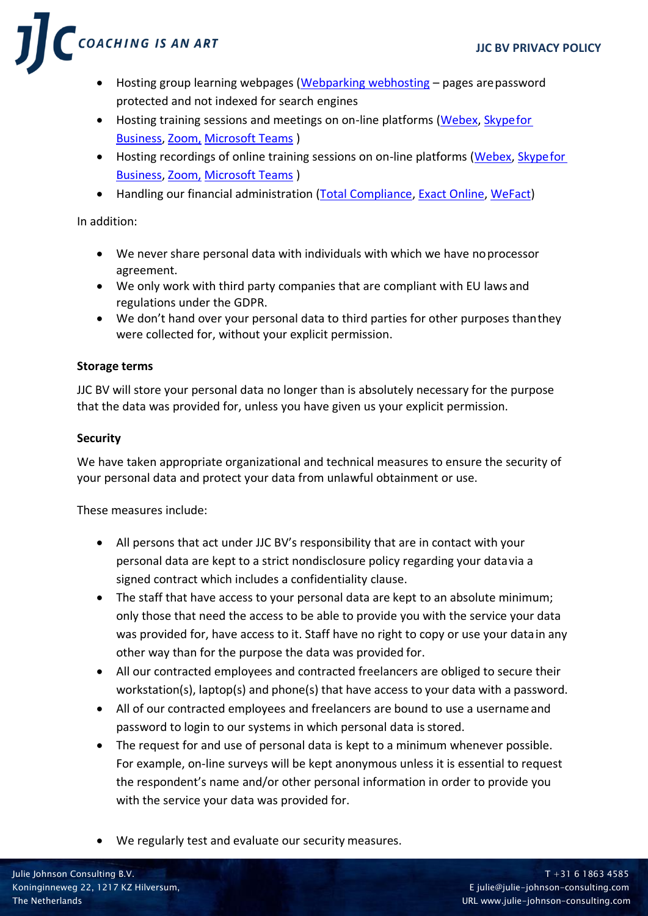COACHING IS AN ART

- Hosting group learning webpages [\(Webparking webhosting](https://www.webparking.nl/) pages are password protected and not indexed for search engines
- Hosting training sessions and meetings on on-line platforms [\(Webex,](https://www.cisco.com/c/en/us/about/legal/privacy-full.html) [Skypefor](https://www.microsoft.com/EN-US/privacystatement/SkypeforBusiness/Default.aspx) [Business,](https://www.microsoft.com/EN-US/privacystatement/SkypeforBusiness/Default.aspx) [Zoom,](https://zoom.us/terms) [Microsoft Teams](https://docs.microsoft.com/en-us/microsoftteams/teams-privacy) )
- Hosting recordings of online training sessions on on-line platforms [\(Webex,](https://www.cisco.com/c/en/us/about/legal/privacy-full.html) [Skypefor](https://www.microsoft.com/EN-US/privacystatement/SkypeforBusiness/Default.aspx) [Business,](https://www.microsoft.com/EN-US/privacystatement/SkypeforBusiness/Default.aspx) [Zoom,](https://zoom.us/terms) [Microsoft Teams](https://docs.microsoft.com/en-us/microsoftteams/teams-privacy) )
- Handling our financial administration [\(Total Compliance,](https://www.totalcompliance.nl/wp-content/uploads/2020/01/Privacyverklaring-06082018.pdf) [Exact Online,](https://www.exact.com/privacy-statement) [WeFact\)](https://www.wefact.nl/privacy-verklaring/)

In addition:

- We never share personal data with individuals with which we have noprocessor agreement.
- We only work with third party companies that are compliant with EU laws and regulations under the GDPR.
- We don't hand over your personal data to third parties for other purposes thanthey were collected for, without your explicit permission.

# **Storage terms**

JJC BV will store your personal data no longer than is absolutely necessary for the purpose that the data was provided for, unless you have given us your explicit permission.

# **Security**

We have taken appropriate organizational and technical measures to ensure the security of your personal data and protect your data from unlawful obtainment or use.

These measures include:

- All persons that act under JJC BV's responsibility that are in contact with your personal data are kept to a strict nondisclosure policy regarding your datavia a signed contract which includes a confidentiality clause.
- The staff that have access to your personal data are kept to an absolute minimum; only those that need the access to be able to provide you with the service your data was provided for, have access to it. Staff have no right to copy or use your datain any other way than for the purpose the data was provided for.
- All our contracted employees and contracted freelancers are obliged to secure their workstation(s), laptop(s) and phone(s) that have access to your data with a password.
- All of our contracted employees and freelancers are bound to use a username and password to login to our systems in which personal data is stored.
- The request for and use of personal data is kept to a minimum whenever possible. For example, on-line surveys will be kept anonymous unless it is essential to request the respondent's name and/or other personal information in order to provide you with the service your data was provided for.
- We regularly test and evaluate our security measures.